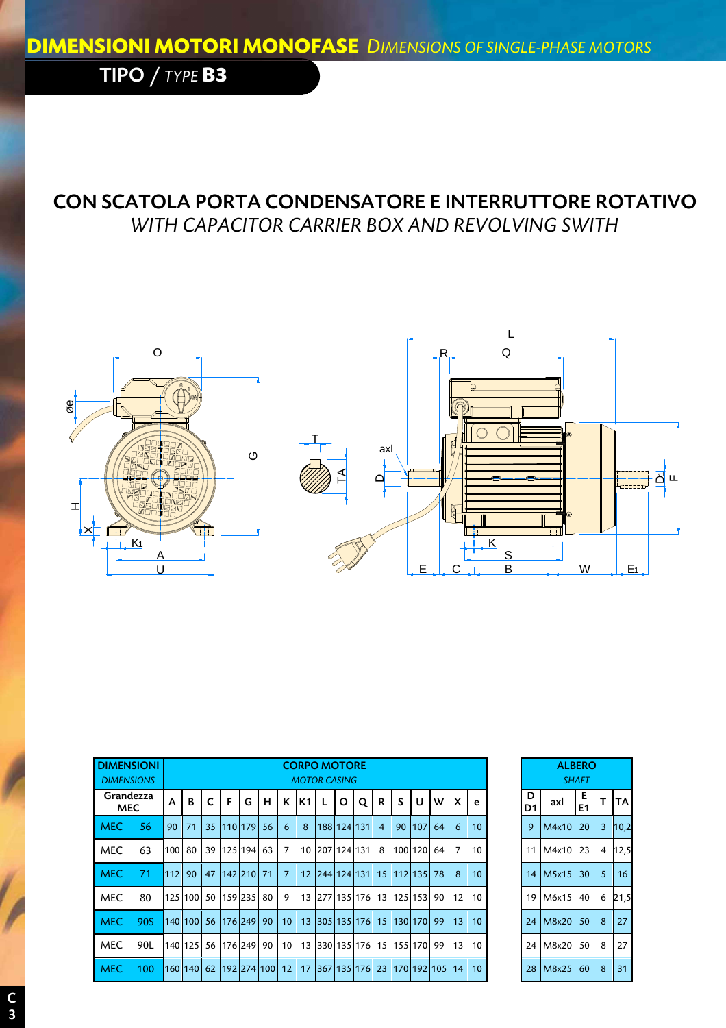## TIPO / *TYPE* **B3**

## CON SCATOLA PORTA CONDENSATORE E INTERRUTTORE ROTATIVO *WITH CAPACITOR CARRIER BOX AND REVOLVING SWITH*



| <b>DIMENSIONI</b><br><b>DIMENSIONS</b> |     |       |            |    |   |                       |   |                 |            |     | <b>CORPO MOTORE</b><br><b>MOTOR CASING</b> |   |                |                                  |        |    |                |                 |         |            | <b>ALBERO</b><br><b>SHAFT</b> |                |      |
|----------------------------------------|-----|-------|------------|----|---|-----------------------|---|-----------------|------------|-----|--------------------------------------------|---|----------------|----------------------------------|--------|----|----------------|-----------------|---------|------------|-------------------------------|----------------|------|
| Grandezza<br><b>MEC</b>                |     |       | B          |    | F | G                     | н | К               | <b>IK1</b> | -L. | $\circ$                                    | O | R              | S                                | U      | w  | X              | e               | D<br>D1 | axl        | Е<br>E1                       | т              | ITA. |
| <b>MEC</b>                             | 56  | 90    | 71         |    |   | 35 110 179 56         |   | 6               | 8          |     | 188 124 131                                |   | $\overline{4}$ |                                  | 90 107 | 64 | 6              | 10              | 9       | M4x10      | 20                            | $\overline{3}$ | 10,2 |
| MEC                                    | 63  | 100 l | 80         | 39 |   | 125 194 63            |   | $\overline{7}$  |            |     | 10 207 124 131                             |   | -8             | 100 120                          |        | 64 | $\overline{7}$ | 10              |         | 11 M4x10   | 23                            | 4              | 12,5 |
| <b>MEC</b>                             | 71  | 1112  | 90         | 47 |   | $142$ 210 71          |   | $\overline{7}$  |            |     |                                            |   |                | 12 244 124 131 15 112 135 78     |        |    | $\mathcal{R}$  | 10              |         | 14   M5x15 | 30                            | 5              | 16   |
| <b>MEC</b>                             | 80  |       |            |    |   | 125 100 50 159 235 80 |   | 9               |            |     |                                            |   |                | 13 277 135 176 13 125 153 90 12  |        |    |                | 10              |         | 19 M6x15   | 40                            | 6              | 21,5 |
| <b>MEC</b>                             | 90S |       |            |    |   | 140 100 56 176 249 90 |   | 10 <sup>1</sup> |            |     |                                            |   |                | 13 305 135 176 15 130 170 99     |        |    | $\vert$ 13     | 10 <sup>°</sup> | 24      | M8x20      | 50                            | 8              | 27   |
| MEC                                    | 90L |       | 140 125    |    |   | 56 176 249 90         |   | 10 <sup>1</sup> |            |     |                                            |   |                | 13 330 135 176 15 155 170 99 13  |        |    |                | $10^{\circ}$    |         | 24 M8x20   | 50                            | 8              | 27   |
| <b>MEC</b>                             | 100 |       | 160 140 62 |    |   | 192 274 100           |   | 12 <sub>1</sub> |            |     |                                            |   |                | 17 367 135 176 23 170 192 105 14 |        |    |                | 10              | 28      | M8x25      | 60                            | 8              | 31   |

| <b>ALBERO</b><br>SHAFT |       |         |   |           |  |  |  |  |  |  |
|------------------------|-------|---------|---|-----------|--|--|--|--|--|--|
| D<br>D1                | axl   | Е<br>E1 | T | <b>TA</b> |  |  |  |  |  |  |
| 9                      | M4x10 | 20      | 3 | 10,2      |  |  |  |  |  |  |
| 11                     | M4x10 | 23      | 4 | 12,5      |  |  |  |  |  |  |
| 14                     | M5x15 | 30      | 5 | 16        |  |  |  |  |  |  |
| 19                     | M6x15 | 40      | 6 | 21,5      |  |  |  |  |  |  |
| 24                     | M8x20 | 50      | 8 | 27        |  |  |  |  |  |  |
| 24                     | M8x20 | 50      | 8 | 27        |  |  |  |  |  |  |
| 28                     | M8x25 | 60      | 8 | 31        |  |  |  |  |  |  |

**C C C** 3